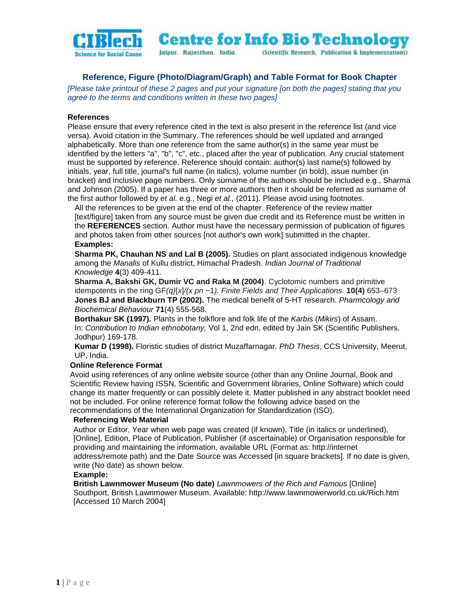

**Centre for Info Bio Technology** Jaipur. Rajasthan. India. (Scientific Research, Publication & Implementations)

# **Reference, Figure (Photo/Diagram/Graph) and Table Format for Book Chapter**

*[Please take printout of these 2 pages and put your signature [on both the pages] stating that you agree to the terms and conditions written in these two pages]*

# **References**

Please ensure that every reference cited in the text is also present in the reference list (and vice versa). Avoid citation in the Summary. The references should be well updated and arranged alphabetically. More than one reference from the same author(s) in the same year must be identified by the letters "a", "b", "c", etc., placed after the year of publication. Any crucial statement must be supported by reference. Reference should contain: author(s) last name(s) followed by initials, year, full title, journal's full name (in italics), volume number (in bold), issue number (in bracket) and inclusive page numbers. Only surname of the authors should be included e.g., Sharma and Johnson (2005). If a paper has three or more authors then it should be referred as surname of the first author followed by *et al.* e.g., Negi *et al.,* (2011). Please avoid using footnotes.

All the references to be given at the end of the chapter. Reference of the review matter [text/figure] taken from any source must be given due credit and its Reference must be written in the **REFERENCES** section. Author must have the necessary permission of publication of figures and photos taken from other sources [not author's own work] submitted in the chapter. **Examples:**

**Sharma PK, Chauhan NS and Lal B (2005).** Studies on plant associated indigenous knowledge among the *Manalis* of Kullu district, Himachal Pradesh. *Indian Journal of Traditional Knowledge* **4**(3) 409-411.

**Sharma A, Bakshi GK, Dumir VC and Raka M (2004)**. Cyclotomic numbers and primitive idempotents in the ring GF*(q)*[*x*]*/(x pn* −1*)*. *Finite Fields and Their Applications.* **10(4)** 653–673 **Jones BJ and Blackburn TP (2002).** The medical benefit of 5-HT research. *Pharmcology and Biochemical Behaviour* **71**(4) 555-568.

**Borthakur SK (1997).** Plants in the folkflore and folk life of the *Karbis* (*Mikirs*) of Assam. In: *Contribution to Indian ethnobotany,* Vol 1, 2nd edn, edited by Jain SK (Scientific Publishers, Jodhpur) 169-178.

**Kumar D (1998).** Floristic studies of district Muzaffarnagar. *PhD Thesis*, CCS University, Meerut, UP, India.

# **Online Reference Format**

Avoid using references of any online website source (other than any Online Journal, Book and Scientific Review having ISSN, Scientific and Government libraries, Online Software) which could change its matter frequently or can possibly delete it. Matter published in any abstract booklet need not be included. For online reference format follow the following advice based on the recommendations of the International Organization for Standardization (ISO).

### **Referencing Web Material**

Author or Editor, Year when web page was created (if known), Title (in italics or underlined), [Online], Edition, Place of Publication, Publisher (if ascertainable) or Organisation responsible for providing and maintaining the information, available URL (Format as: http://internet address/remote path) and the Date Source was Accessed [in square brackets]. If no date is given, write (No date) as shown below.

### **Example:**

**British Lawnmower Museum (No date)** *Lawnmowers of the Rich and Famous* [Online] Southport, British Lawnmower Museum. Available: http://www.lawnmowerworld.co.uk/Rich.htm [Accessed 10 March 2004]